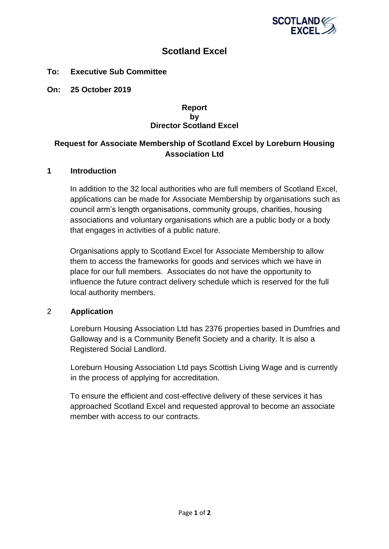

# **Scotland Excel**

### **To: Executive Sub Committee**

**On: 25 October 2019**

#### **Report by Director Scotland Excel**

# **Request for Associate Membership of Scotland Excel by Loreburn Housing Association Ltd**

#### **1 Introduction**

In addition to the 32 local authorities who are full members of Scotland Excel, applications can be made for Associate Membership by organisations such as council arm's length organisations, community groups, charities, housing associations and voluntary organisations which are a public body or a body that engages in activities of a public nature.

Organisations apply to Scotland Excel for Associate Membership to allow them to access the frameworks for goods and services which we have in place for our full members. Associates do not have the opportunity to influence the future contract delivery schedule which is reserved for the full local authority members.

## 2 **Application**

Loreburn Housing Association Ltd has 2376 properties based in Dumfries and Galloway and is a Community Benefit Society and a charity. It is also a Registered Social Landlord.

Loreburn Housing Association Ltd pays Scottish Living Wage and is currently in the process of applying for accreditation.

To ensure the efficient and cost-effective delivery of these services it has approached Scotland Excel and requested approval to become an associate member with access to our contracts.